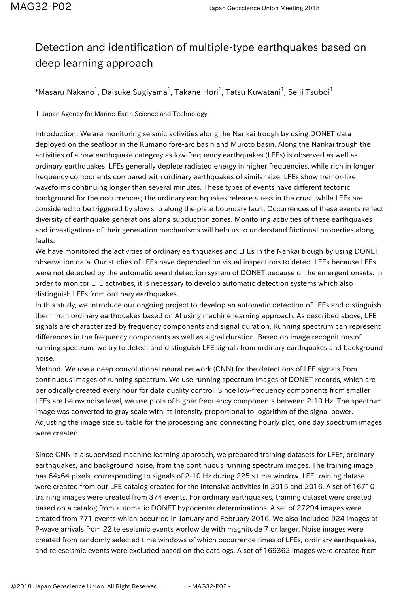## Detection and identification of multiple-type earthquakes based on deep learning approach

 $^*$ Masaru Nakano $^1$ , Daisuke Sugiyama $^1$ , Takane Hori $^1$ , Tatsu Kuwatani $^1$ , Seiji Tsuboi $^1$ 

1. Japan Agency for Marine-Earth Science and Technology

Introduction: We are monitoring seismic activities along the Nankai trough by using DONET data deployed on the seafloor in the Kumano fore-arc basin and Muroto basin. Along the Nankai trough the activities of a new earthquake category as low-frequency earthquakes (LFEs) is observed as well as ordinary earthquakes. LFEs generally deplete radiated energy in higher frequencies, while rich in longer frequency components compared with ordinary earthquakes of similar size. LFEs show tremor-like waveforms continuing longer than several minutes. These types of events have different tectonic background for the occurrences; the ordinary earthquakes release stress in the crust, while LFEs are considered to be triggered by slow slip along the plate boundary fault. Occurrences of these events reflect diversity of earthquake generations along subduction zones. Monitoring activities of these earthquakes and investigations of their generation mechanisms will help us to understand frictional properties along faults.

We have monitored the activities of ordinary earthquakes and LFEs in the Nankai trough by using DONET observation data. Our studies of LFEs have depended on visual inspections to detect LFEs because LFEs were not detected by the automatic event detection system of DONET because of the emergent onsets. In order to monitor LFE activities, it is necessary to develop automatic detection systems which also distinguish LFEs from ordinary earthquakes.

In this study, we introduce our ongoing project to develop an automatic detection of LFEs and distinguish them from ordinary earthquakes based on AI using machine learning approach. As described above, LFE signals are characterized by frequency components and signal duration. Running spectrum can represent differences in the frequency components as well as signal duration. Based on image recognitions of running spectrum, we try to detect and distinguish LFE signals from ordinary earthquakes and background noise.

Method: We use a deep convolutional neural network (CNN) for the detections of LFE signals from continuous images of running spectrum. We use running spectrum images of DONET records, which are periodically created every hour for data quality control. Since low-frequency components from smaller LFEs are below noise level, we use plots of higher frequency components between 2-10 Hz. The spectrum image was converted to gray scale with its intensity proportional to logarithm of the signal power. Adjusting the image size suitable for the processing and connecting hourly plot, one day spectrum images were created.

Since CNN is a supervised machine learning approach, we prepared training datasets for LFEs, ordinary earthquakes, and background noise, from the continuous running spectrum images. The training image has 64x64 pixels, corresponding to signals of 2-10 Hz during 225 s time window. LFE training dataset were created from our LFE catalog created for the intensive activities in 2015 and 2016. A set of 16710 training images were created from 374 events. For ordinary earthquakes, training dataset were created based on a catalog from automatic DONET hypocenter determinations. A set of 27294 images were created from 771 events which occurred in January and February 2016. We also included 924 images at P-wave arrivals from 22 teleseismic events worldwide with magnitude 7 or larger. Noise images were created from randomly selected time windows of which occurrence times of LFEs, ordinary earthquakes, and teleseismic events were excluded based on the catalogs. A set of 169362 images were created from